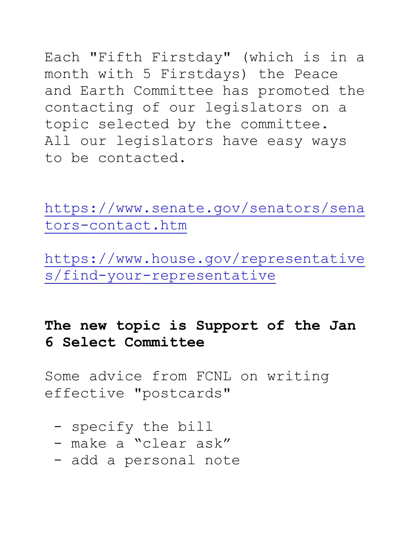Each "Fifth Firstday" (which is in a month with 5 Firstdays) the Peace and Earth Committee has promoted the contacting of our legislators on a topic selected by the committee. All our legislators have easy ways to be contacted.

[https://www.senate.gov/senators/sena](https://www.senate.gov/senators/senators-contact.htm) [tors-contact.htm](https://www.senate.gov/senators/senators-contact.htm)

[https://www.house.gov/representative](https://www.house.gov/representatives/find-your-representative) [s/find-your-representative](https://www.house.gov/representatives/find-your-representative)

# **The new topic is Support of the Jan 6 Select Committee**

Some advice from FCNL on writing effective "postcards"

- specify the bill
- make a "clear ask"
- add a personal note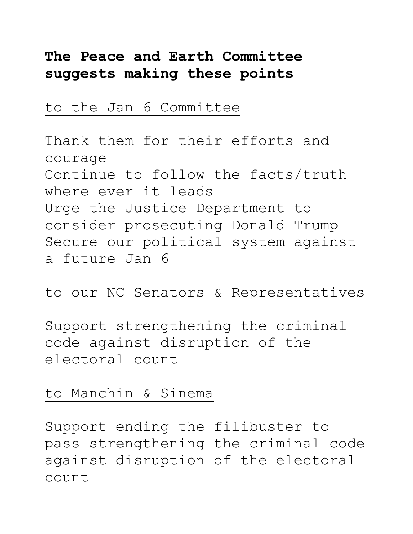# **The Peace and Earth Committee suggests making these points**

### to the Jan 6 Committee

Thank them for their efforts and courage Continue to follow the facts/truth where ever it leads Urge the Justice Department to consider prosecuting Donald Trump Secure our political system against a future Jan 6

### to our NC Senators & Representatives

Support strengthening the criminal code against disruption of the electoral count

### to Manchin & Sinema

Support ending the filibuster to pass strengthening the criminal code against disruption of the electoral count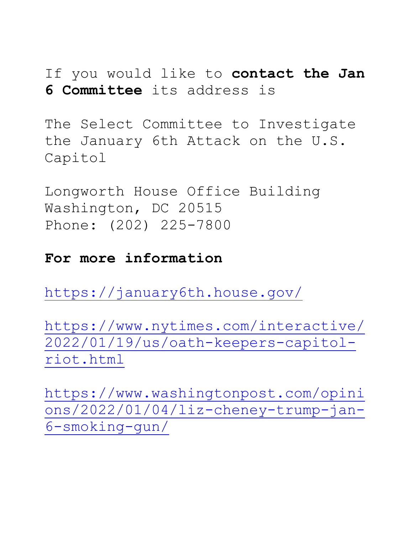If you would like to **contact the Jan 6 Committee** its address is

The Select Committee to Investigate the January 6th Attack on the U.S. Capitol

Longworth House Office Building Washington, DC 20515 Phone: (202) 225-7800

#### **For more information**

<https://january6th.house.gov/>

[https://www.nytimes.com/interactive/](https://www.nytimes.com/interactive/2022/01/19/us/oath-keepers-capitol-riot.html) [2022/01/19/us/oath-keepers-capitol](https://www.nytimes.com/interactive/2022/01/19/us/oath-keepers-capitol-riot.html)[riot.html](https://www.nytimes.com/interactive/2022/01/19/us/oath-keepers-capitol-riot.html)

[https://www.washingtonpost.com/opini](https://www.washingtonpost.com/opinions/2022/01/04/liz-cheney-trump-jan-6-smoking-gun/) [ons/2022/01/04/liz-cheney-trump-jan-](https://www.washingtonpost.com/opinions/2022/01/04/liz-cheney-trump-jan-6-smoking-gun/)[6-smoking-gun/](https://www.washingtonpost.com/opinions/2022/01/04/liz-cheney-trump-jan-6-smoking-gun/)